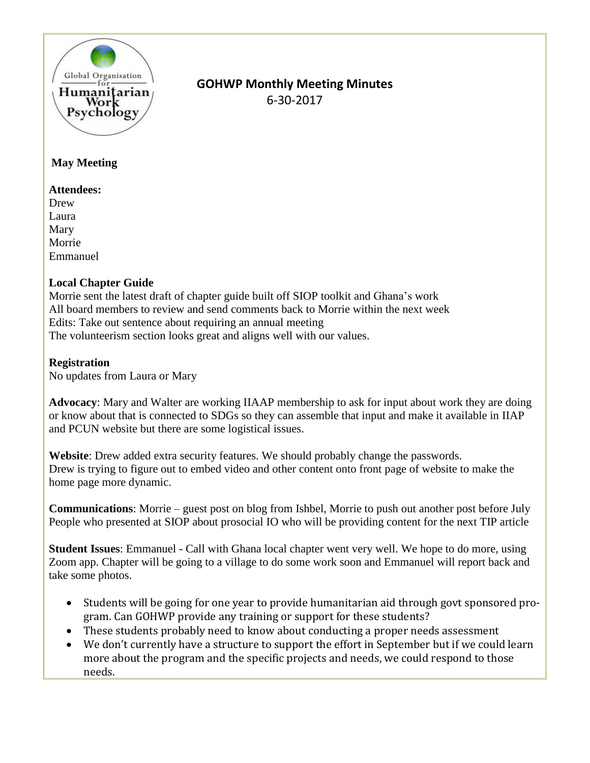

# **GOHWP Monthly Meeting Minutes** 6-30-2017

## **May Meeting**

**Attendees:** Drew Laura **Mary** Morrie Emmanuel

## **Local Chapter Guide**

Morrie sent the latest draft of chapter guide built off SIOP toolkit and Ghana's work All board members to review and send comments back to Morrie within the next week Edits: Take out sentence about requiring an annual meeting The volunteerism section looks great and aligns well with our values.

## **Registration**

No updates from Laura or Mary

**Advocacy**: Mary and Walter are working IIAAP membership to ask for input about work they are doing or know about that is connected to SDGs so they can assemble that input and make it available in IIAP and PCUN website but there are some logistical issues.

**Website**: Drew added extra security features. We should probably change the passwords. Drew is trying to figure out to embed video and other content onto front page of website to make the home page more dynamic.

**Communications**: Morrie – guest post on blog from Ishbel, Morrie to push out another post before July People who presented at SIOP about prosocial IO who will be providing content for the next TIP article

**Student Issues**: Emmanuel - Call with Ghana local chapter went very well. We hope to do more, using Zoom app. Chapter will be going to a village to do some work soon and Emmanuel will report back and take some photos.

- Students will be going for one year to provide humanitarian aid through govt sponsored program. Can GOHWP provide any training or support for these students?
- These students probably need to know about conducting a proper needs assessment
- We don't currently have a structure to support the effort in September but if we could learn more about the program and the specific projects and needs, we could respond to those needs.